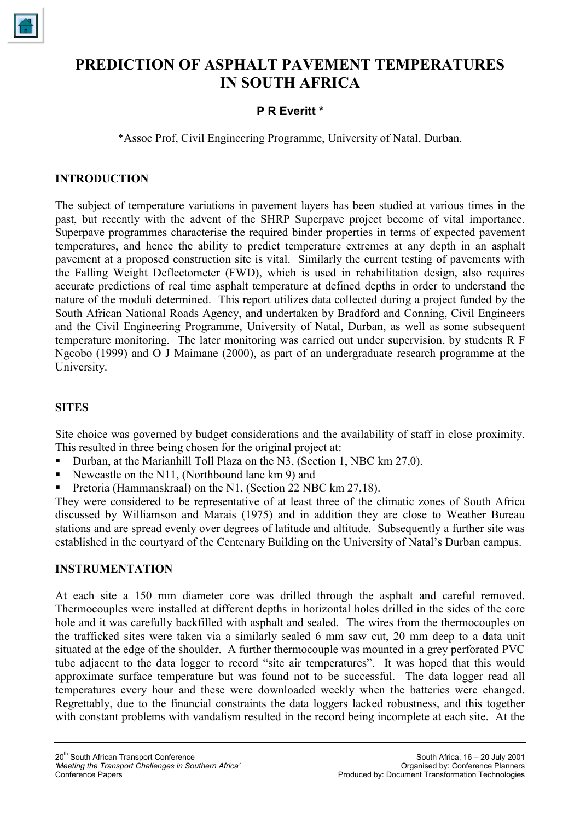

# **PREDICTION OF ASPHALT PAVEMENT TEMPERATURES IN SOUTH AFRICA**

# **P R Everitt \***

\*Assoc Prof, Civil Engineering Programme, University of Natal, Durban.

## **INTRODUCTION**

The subject of temperature variations in pavement layers has been studied at various times in the past, but recently with the advent of the SHRP Superpave project become of vital importance. Superpave programmes characterise the required binder properties in terms of expected pavement temperatures, and hence the ability to predict temperature extremes at any depth in an asphalt pavement at a proposed construction site is vital. Similarly the current testing of pavements with the Falling Weight Deflectometer (FWD), which is used in rehabilitation design, also requires accurate predictions of real time asphalt temperature at defined depths in order to understand the nature of the moduli determined. This report utilizes data collected during a project funded by the South African National Roads Agency, and undertaken by Bradford and Conning, Civil Engineers and the Civil Engineering Programme, University of Natal, Durban, as well as some subsequent temperature monitoring. The later monitoring was carried out under supervision, by students R F Ngcobo (1999) and O J Maimane (2000), as part of an undergraduate research programme at the University.

## **SITES**

Site choice was governed by budget considerations and the availability of staff in close proximity. This resulted in three being chosen for the original project at:

- Durban, at the Marianhill Toll Plaza on the N3, (Section 1, NBC km 27,0).
- Newcastle on the N11, (Northbound lane km 9) and
- Pretoria (Hammanskraal) on the N1, (Section 22 NBC km 27,18).

They were considered to be representative of at least three of the climatic zones of South Africa discussed by Williamson and Marais (1975) and in addition they are close to Weather Bureau stations and are spread evenly over degrees of latitude and altitude. Subsequently a further site was established in the courtyard of the Centenary Building on the University of Natal's Durban campus.

#### **INSTRUMENTATION**

At each site a 150 mm diameter core was drilled through the asphalt and careful removed. Thermocouples were installed at different depths in horizontal holes drilled in the sides of the core hole and it was carefully backfilled with asphalt and sealed. The wires from the thermocouples on the trafficked sites were taken via a similarly sealed 6 mm saw cut, 20 mm deep to a data unit situated at the edge of the shoulder. A further thermocouple was mounted in a grey perforated PVC tube adjacent to the data logger to record "site air temperatures". It was hoped that this would approximate surface temperature but was found not to be successful. The data logger read all temperatures every hour and these were downloaded weekly when the batteries were changed. Regrettably, due to the financial constraints the data loggers lacked robustness, and this together with constant problems with vandalism resulted in the record being incomplete at each site. At the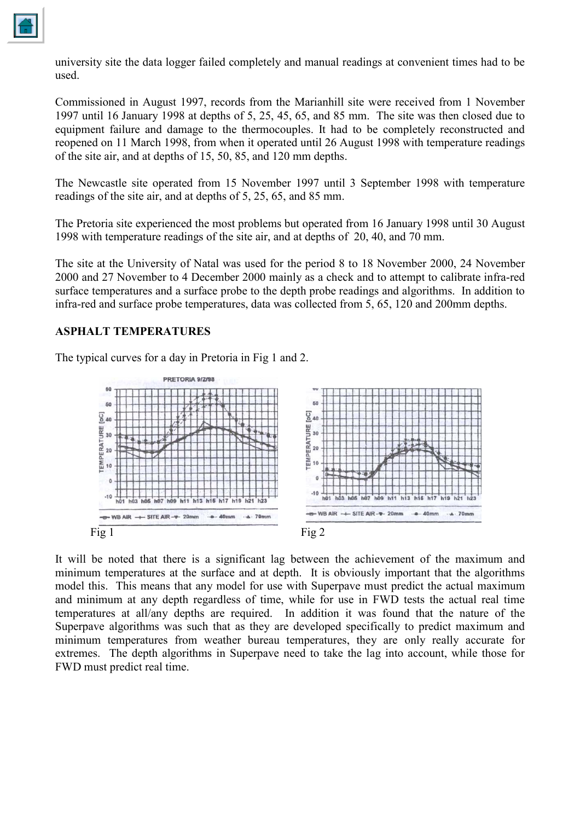

university site the data logger failed completely and manual readings at convenient times had to be used.

Commissioned in August 1997, records from the Marianhill site were received from 1 November 1997 until 16 January 1998 at depths of 5, 25, 45, 65, and 85 mm. The site was then closed due to equipment failure and damage to the thermocouples. It had to be completely reconstructed and reopened on 11 March 1998, from when it operated until 26 August 1998 with temperature readings of the site air, and at depths of 15, 50, 85, and 120 mm depths.

The Newcastle site operated from 15 November 1997 until 3 September 1998 with temperature readings of the site air, and at depths of 5, 25, 65, and 85 mm.

The Pretoria site experienced the most problems but operated from 16 January 1998 until 30 August 1998 with temperature readings of the site air, and at depths of 20, 40, and 70 mm.

The site at the University of Natal was used for the period 8 to 18 November 2000, 24 November 2000 and 27 November to 4 December 2000 mainly as a check and to attempt to calibrate infra-red surface temperatures and a surface probe to the depth probe readings and algorithms. In addition to infra-red and surface probe temperatures, data was collected from 5, 65, 120 and 200mm depths.

#### **ASPHALT TEMPERATURES**

The typical curves for a day in Pretoria in Fig 1 and 2.



It will be noted that there is a significant lag between the achievement of the maximum and minimum temperatures at the surface and at depth. It is obviously important that the algorithms model this. This means that any model for use with Superpave must predict the actual maximum and minimum at any depth regardless of time, while for use in FWD tests the actual real time temperatures at all/any depths are required. In addition it was found that the nature of the Superpave algorithms was such that as they are developed specifically to predict maximum and minimum temperatures from weather bureau temperatures, they are only really accurate for extremes. The depth algorithms in Superpave need to take the lag into account, while those for FWD must predict real time.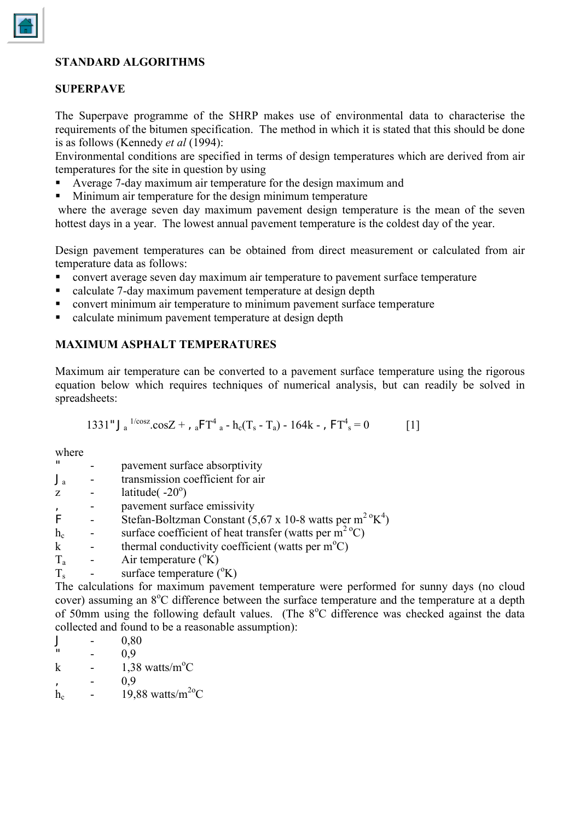# **STANDARD ALGORITHMS**

## **SUPERPAVE**

The Superpave programme of the SHRP makes use of environmental data to characterise the requirements of the bitumen specification. The method in which it is stated that this should be done is as follows (Kennedy *et al* (1994):

Environmental conditions are specified in terms of design temperatures which are derived from air temperatures for the site in question by using

- Average 7-day maximum air temperature for the design maximum and
- Minimum air temperature for the design minimum temperature

 where the average seven day maximum pavement design temperature is the mean of the seven hottest days in a year. The lowest annual pavement temperature is the coldest day of the year.

Design pavement temperatures can be obtained from direct measurement or calculated from air temperature data as follows:

- convert average seven day maximum air temperature to pavement surface temperature
- calculate 7-day maximum pavement temperature at design depth
- convert minimum air temperature to minimum pavement surface temperature
- calculate minimum pavement temperature at design depth

#### **MAXIMUM ASPHALT TEMPERATURES**

Maximum air temperature can be converted to a pavement surface temperature using the rigorous equation below which requires techniques of numerical analysis, but can readily be solved in spreadsheets:

1331"J<sup>a</sup> 1/cosz.cosZ + ,aFT4 a - hc(Ts - Ta) - 164k - ,FT4 s = 0 [1]

where

| $\mathbf{u}$ | pavement surface absorptivity                                          |
|--------------|------------------------------------------------------------------------|
|              | transmission coefficient for air                                       |
|              | latitude $(-20^{\circ})$                                               |
|              | pavement surface emissivity                                            |
|              | Stefan-Boltzman Constant (5,67 x 10-8 watts per m <sup>2</sup> $K^4$ ) |
| $h_c$        | surface coefficient of heat transfer (watts per $m^2$ <sup>o</sup> C)  |
|              | thermal conductivity coefficient (watts per $m^{\circ}C$ )             |
| $T_{\rm a}$  | Air temperature $({}^{\circ}K)$                                        |
| $T_{\rm s}$  | surface temperature (°K)                                               |

The calculations for maximum pavement temperature were performed for sunny days (no cloud cover) assuming an 8°C difference between the surface temperature and the temperature at a depth of 50mm using the following default values. (The 8°C difference was checked against the data collected and found to be a reasonable assumption):

 $J = 0,80$  $0.9$ k -  $1,38 \text{ watts/m}^{\circ}\text{C}$  $- 0.9$ h<sub>c</sub> - 19,88 watts/m<sup>2o</sup>C

$$
\boxed{\triangle}
$$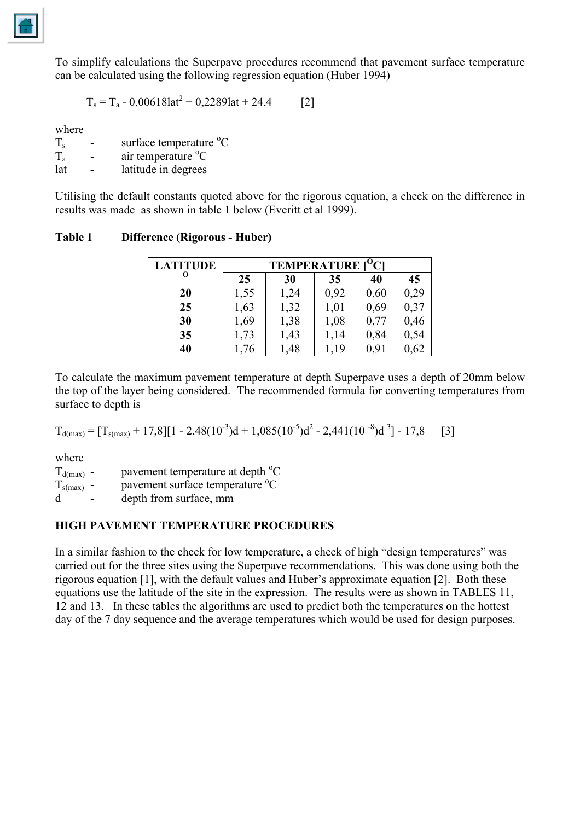

To simplify calculations the Superpave procedures recommend that pavement surface temperature can be calculated using the following regression equation (Huber 1994)

$$
T_s = T_a - 0.006181at^2 + 0.22891at + 24.4
$$
 [2]

where

 $T_s$  - surface temperature  ${}^{\circ}C$ 

 $T_a$  - air temperature  ${}^{\circ}C$ 

lat - latitude in degrees

Utilising the default constants quoted above for the rigorous equation, a check on the difference in results was made as shown in table 1 below (Everitt et al 1999).

| Table 1 | <b>Difference (Rigorous - Huber)</b> |  |  |
|---------|--------------------------------------|--|--|
|---------|--------------------------------------|--|--|

| <b>LATITUDE</b> | $\overline{O}_{Cl}$<br><b>TEMPERATURE</b> |      |      |         |           |  |
|-----------------|-------------------------------------------|------|------|---------|-----------|--|
|                 | 25                                        | 30   | 35   | 40      | 45        |  |
| 20              | 1,55                                      | 24   | 0,92 | 0,60    | 0,29      |  |
| 25              | 1,63                                      | 1,32 | 1,01 | 0,69    | $0,3^{-}$ |  |
| 30              | 1,69                                      | 1,38 | 1,08 | 0,77    | 0,46      |  |
| 35              | 1,73                                      | 1,43 | 1,14 | 0,84    |           |  |
| 40              | 76                                        | .48  | .19  | $0,9$ . | 0,62      |  |

To calculate the maximum pavement temperature at depth Superpave uses a depth of 20mm below the top of the layer being considered. The recommended formula for converting temperatures from surface to depth is

$$
T_{d(max)} = [T_{s(max)} + 17,8][1 - 2,48(10^{-3})d + 1,085(10^{-5})d^{2} - 2,441(10^{-8})d^{3}] - 17,8
$$
 [3]

where

 $T_{d(max)}$  - pavement temperature at depth <sup>o</sup>C

 $T_{\text{s(max)}}$  - pavement surface temperature  ${}^{\text{o}}\text{C}$ 

d - depth from surface, mm

#### **HIGH PAVEMENT TEMPERATURE PROCEDURES**

In a similar fashion to the check for low temperature, a check of high "design temperatures" was carried out for the three sites using the Superpave recommendations. This was done using both the rigorous equation [1], with the default values and Huber's approximate equation [2]. Both these equations use the latitude of the site in the expression. The results were as shown in TABLES 11, 12 and 13. In these tables the algorithms are used to predict both the temperatures on the hottest day of the 7 day sequence and the average temperatures which would be used for design purposes.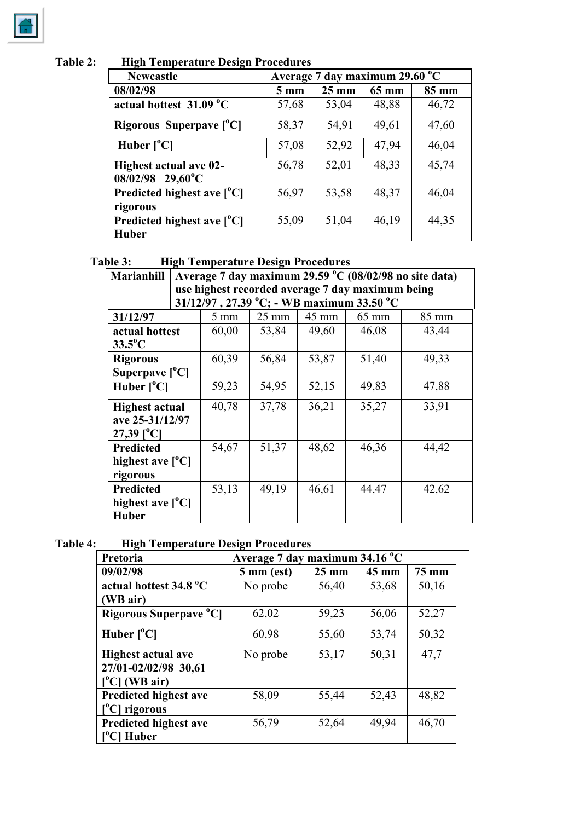**Table 2: High Temperature Design Procedures**

| <b>Newcastle</b>                                    | Average 7 day maximum 29.60 °C |                 |       |       |  |
|-----------------------------------------------------|--------------------------------|-----------------|-------|-------|--|
| 08/02/98                                            | $5 \text{ mm}$                 | $25 \text{ mm}$ | 65 mm | 85 mm |  |
| actual hottest 31.09 °C                             | 57,68                          | 53,04           | 48,88 | 46,72 |  |
| Rigorous Superpave $[°C]$                           | 58,37                          | 54,91           | 49,61 | 47,60 |  |
| Huber $[°C]$                                        | 57,08                          | 52,92           | 47,94 | 46,04 |  |
| <b>Highest actual ave 02-</b><br>$08/02/98$ 29,60°C | 56,78                          | 52,01           | 48,33 | 45,74 |  |
| Predicted highest ave $[°C]$<br>rigorous            | 56,97                          | 53,58           | 48,37 | 46,04 |  |
| Predicted highest ave $[°C]$<br><b>Huber</b>        | 55,09                          | 51,04           | 46,19 | 44,35 |  |

# **Table 3: High Temperature Design Procedures**

| <b>Marianhill</b>         | Average 7 day maximum 29.59 °C (08/02/98 no site data) |                                                  |                 |       |                                              |       |  |
|---------------------------|--------------------------------------------------------|--------------------------------------------------|-----------------|-------|----------------------------------------------|-------|--|
|                           |                                                        | use highest recorded average 7 day maximum being |                 |       |                                              |       |  |
|                           |                                                        |                                                  |                 |       | $31/12/97$ , 27.39 °C; - WB maximum 33.50 °C |       |  |
| 31/12/97                  |                                                        | $5 \text{ mm}$                                   | $25 \text{ mm}$ | 45 mm | $65 \text{ mm}$                              | 85 mm |  |
| actual hottest            |                                                        | 60,00                                            | 53,84           | 49,60 | 46,08                                        | 43,44 |  |
| $33.5^{\circ}$ C          |                                                        |                                                  |                 |       |                                              |       |  |
| <b>Rigorous</b>           |                                                        | 60,39                                            | 56,84           | 53,87 | 51,40                                        | 49,33 |  |
| Superpave $[°C]$          |                                                        |                                                  |                 |       |                                              |       |  |
| Huber $[°C]$              |                                                        | 59,23                                            | 54,95           | 52,15 | 49,83                                        | 47,88 |  |
| <b>Highest actual</b>     |                                                        | 40,78                                            | 37,78           | 36,21 | 35,27                                        | 33,91 |  |
| ave 25-31/12/97           |                                                        |                                                  |                 |       |                                              |       |  |
| $27,39$ [ <sup>o</sup> C] |                                                        |                                                  |                 |       |                                              |       |  |
| <b>Predicted</b>          |                                                        | 54,67                                            | 51,37           | 48,62 | 46,36                                        | 44,42 |  |
| highest ave $[^{0}C]$     |                                                        |                                                  |                 |       |                                              |       |  |
| rigorous                  |                                                        |                                                  |                 |       |                                              |       |  |
| <b>Predicted</b>          |                                                        | 53,13                                            | 49,19           | 46,61 | 44,47                                        | 42,62 |  |
| highest ave $[^{0}C]$     |                                                        |                                                  |                 |       |                                              |       |  |
| <b>Huber</b>              |                                                        |                                                  |                 |       |                                              |       |  |

**Table 4: High Temperature Design Procedures**

| Pretoria                           |                      | Average 7 day maximum 34.16 °C |       |       |  |  |
|------------------------------------|----------------------|--------------------------------|-------|-------|--|--|
| 09/02/98                           | $5 \text{ mm}$ (est) | $25 \text{ mm}$                | 45 mm | 75 mm |  |  |
| actual hottest 34.8 °C             | No probe             | 56,40                          | 53,68 | 50,16 |  |  |
| (WB air)                           |                      |                                |       |       |  |  |
| Rigorous Superpave <sup>o</sup> Cl | 62,02                | 59,23                          | 56,06 | 52,27 |  |  |
| Huber $[°C]$                       | 60,98                | 55,60                          | 53,74 | 50,32 |  |  |
| <b>Highest actual ave</b>          | No probe             | 53,17                          | 50,31 | 47,7  |  |  |
| 27/01-02/02/98 30,61               |                      |                                |       |       |  |  |
| $[°C]$ (WB air)                    |                      |                                |       |       |  |  |
| <b>Predicted highest ave</b>       | 58,09                | 55,44                          | 52,43 | 48,82 |  |  |
| [ <sup>o</sup> C] rigorous         |                      |                                |       |       |  |  |
| <b>Predicted highest ave</b>       | 56,79                | 52,64                          | 49.94 | 46,70 |  |  |
| Huber                              |                      |                                |       |       |  |  |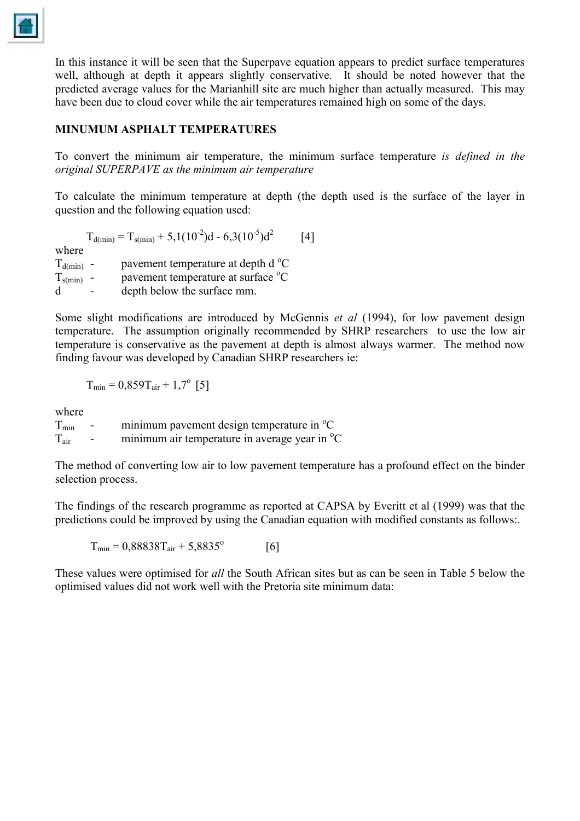

In this instance it will be seen that the Superpave equation appears to predict surface temperatures well, although at depth it appears slightly conservative. It should be noted however that the predicted average values for the Marianhill site are much higher than actually measured. This may have been due to cloud cover while the air temperatures remained high on some of the days.

## **MINUMUM ASPHALT TEMPERATURES**

To convert the minimum air temperature, the minimum surface temperature *is defined in the original SUPERPAVE as the minimum air temperature*

To calculate the minimum temperature at depth (the depth used is the surface of the layer in question and the following equation used:

$$
T_{d(min)} = T_{s(min)} + 5,1(10^{-2})d - 6,3(10^{-5})d^{2}
$$
 [4]

where

 $T_{d(min)}$  - pavement temperature at depth d<sup>o</sup>C  $T_{\text{s(min)}}$  - pavement temperature at surface  ${}^{\circ}\text{C}$ d - depth below the surface mm.

Some slight modifications are introduced by McGennis *et al* (1994), for low pavement design temperature. The assumption originally recommended by SHRP researchers to use the low air temperature is conservative as the pavement at depth is almost always warmer. The method now finding favour was developed by Canadian SHRP researchers ie:

$$
T_{\min} = 0.859T_{\text{air}} + 1.7^{\circ} \text{ [5]}
$$

where

| $T_{min}$ | $\sim$ $-$ | minimum pavement design temperature in <sup>o</sup> C     |
|-----------|------------|-----------------------------------------------------------|
| $T_{air}$ | $\sim$     | minimum air temperature in average year in <sup>o</sup> C |

The method of converting low air to low pavement temperature has a profound effect on the binder selection process.

The findings of the research programme as reported at CAPSA by Everitt et al (1999) was that the predictions could be improved by using the Canadian equation with modified constants as follows:.

 $T_{\text{min}} = 0.88838 T_{\text{air}} + 5.8835^{\circ}$  [6]

These values were optimised for *all* the South African sites but as can be seen in Table 5 below the optimised values did not work well with the Pretoria site minimum data: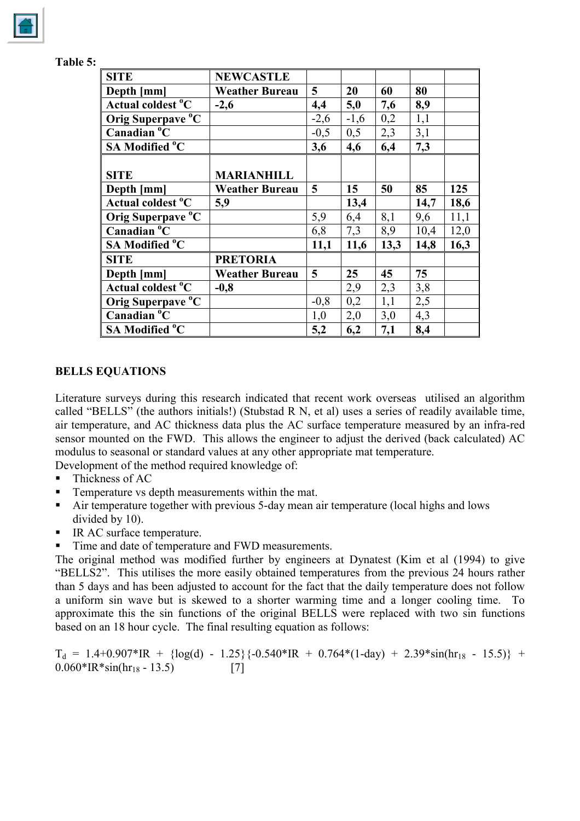| <b>SITE</b>                   | <b>NEWCASTLE</b>      |                 |        |      |      |      |
|-------------------------------|-----------------------|-----------------|--------|------|------|------|
| Depth [mm]                    | <b>Weather Bureau</b> | $5\overline{)}$ | 20     | 60   | 80   |      |
| Actual coldest <sup>o</sup> C | $-2,6$                | 4,4             | 5,0    | 7,6  | 8,9  |      |
| Orig Superpave °C             |                       | $-2,6$          | $-1,6$ | 0,2  | 1,1  |      |
| Canadian °C                   |                       | $-0,5$          | 0,5    | 2,3  | 3,1  |      |
| <b>SA Modified °C</b>         |                       | 3,6             | 4,6    | 6,4  | 7,3  |      |
|                               |                       |                 |        |      |      |      |
| <b>SITE</b>                   | <b>MARIANHILL</b>     |                 |        |      |      |      |
| Depth [mm]                    | <b>Weather Bureau</b> | 5               | 15     | 50   | 85   | 125  |
| Actual coldest <sup>o</sup> C | 5,9                   |                 | 13,4   |      | 14,7 | 18,6 |
| Orig Superpave °C             |                       | 5,9             | 6,4    | 8,1  | 9,6  | 11,1 |
| Canadian °C                   |                       | 6,8             | 7,3    | 8,9  | 10,4 | 12,0 |
| <b>SA Modified °C</b>         |                       | 11,1            | 11,6   | 13,3 | 14,8 | 16,3 |
| <b>SITE</b>                   | <b>PRETORIA</b>       |                 |        |      |      |      |
| Depth [mm]                    | <b>Weather Bureau</b> | 5               | 25     | 45   | 75   |      |
| Actual coldest <sup>o</sup> C | $-0,8$                |                 | 2,9    | 2,3  | 3,8  |      |
| Orig Superpave °C             |                       | $-0,8$          | 0,2    | 1,1  | 2,5  |      |
| Canadian °C                   |                       | 1,0             | 2,0    | 3,0  | 4,3  |      |
| <b>SA Modified °C</b>         |                       | 5,2             | 6,2    | 7,1  | 8,4  |      |

| <b>↑able 5</b> |  |
|----------------|--|
|                |  |

#### **BELLS EQUATIONS**

Literature surveys during this research indicated that recent work overseas utilised an algorithm called "BELLS" (the authors initials!) (Stubstad R N, et al) uses a series of readily available time, air temperature, and AC thickness data plus the AC surface temperature measured by an infra-red sensor mounted on the FWD. This allows the engineer to adjust the derived (back calculated) AC modulus to seasonal or standard values at any other appropriate mat temperature.

Development of the method required knowledge of:

- $\blacksquare$  Thickness of AC
- Temperature vs depth measurements within the mat.
- Air temperature together with previous 5-day mean air temperature (local highs and lows divided by 10).
- IR AC surface temperature.
- Time and date of temperature and FWD measurements.

The original method was modified further by engineers at Dynatest (Kim et al (1994) to give "BELLS2". This utilises the more easily obtained temperatures from the previous 24 hours rather than 5 days and has been adjusted to account for the fact that the daily temperature does not follow a uniform sin wave but is skewed to a shorter warming time and a longer cooling time. To approximate this the sin functions of the original BELLS were replaced with two sin functions based on an 18 hour cycle. The final resulting equation as follows:

 $T_d = 1.4+0.907*IR + {log(d) - 1.25}{-0.540*IR + 0.764*(1-day) + 2.39*sin(hr_{18} - 15.5)} + 0.060*IR*sin(hr_{18} - 13.5)$  [7]  $0.060*IR*sin/hr_{18} - 13.5$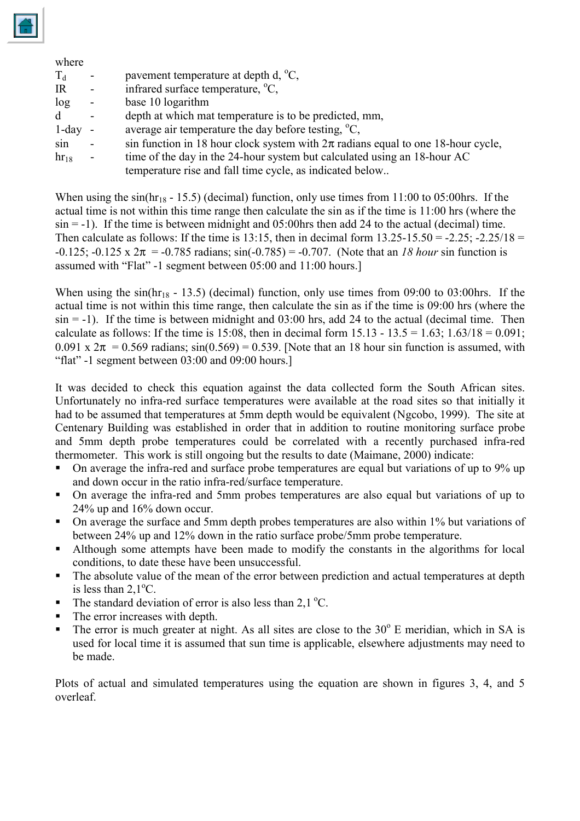

#### where

| $T_{d}$   |                | pavement temperature at depth d, $^{\circ}C$ ,                                       |
|-----------|----------------|--------------------------------------------------------------------------------------|
| IR        | $\blacksquare$ | infrared surface temperature, <sup>o</sup> C,                                        |
| log       | $\blacksquare$ | base 10 logarithm                                                                    |
| d         | $\blacksquare$ | depth at which mat temperature is to be predicted, mm,                               |
| $1$ -day  |                | average air temperature the day before testing, $\mathrm{^{\circ}C}$ ,               |
| sin       | $\blacksquare$ | sin function in 18 hour clock system with $2\pi$ radians equal to one 18-hour cycle, |
| $hr_{18}$ | $\blacksquare$ | time of the day in the 24-hour system but calculated using an 18-hour AC             |
|           |                | temperature rise and fall time cycle, as indicated below                             |

When using the sin( $hr_{18}$  - 15.5) (decimal) function, only use times from 11:00 to 05:00 hrs. If the actual time is not within this time range then calculate the sin as if the time is 11:00 hrs (where the  $\sin = -1$ ). If the time is between midnight and 05:00 hrs then add 24 to the actual (decimal) time. Then calculate as follows: If the time is 13:15, then in decimal form  $13.25-15.50 = -2.25$ ;  $-2.25/18 =$  $-0.125$ ;  $-0.125 \times 2\pi = -0.785$  radians;  $sin(-0.785) = -0.707$ . (Note that an *18 hour* sin function is assumed with "Flat" -1 segment between 05:00 and 11:00 hours.]

When using the sin( $hr_{18}$  - 13.5) (decimal) function, only use times from 09:00 to 03:00 hrs. If the actual time is not within this time range, then calculate the sin as if the time is 09:00 hrs (where the  $\sin = -1$ ). If the time is between midnight and 03:00 hrs, add 24 to the actual (decimal time. Then calculate as follows: If the time is 15:08, then in decimal form  $15.13 - 13.5 = 1.63$ ;  $1.63/18 = 0.091$ ; 0.091 x  $2\pi$  = 0.569 radians; sin(0.569) = 0.539. [Note that an 18 hour sin function is assumed, with "flat" -1 segment between 03:00 and 09:00 hours.]

It was decided to check this equation against the data collected form the South African sites. Unfortunately no infra-red surface temperatures were available at the road sites so that initially it had to be assumed that temperatures at 5mm depth would be equivalent (Ngcobo, 1999). The site at Centenary Building was established in order that in addition to routine monitoring surface probe and 5mm depth probe temperatures could be correlated with a recently purchased infra-red thermometer. This work is still ongoing but the results to date (Maimane, 2000) indicate:

- On average the infra-red and surface probe temperatures are equal but variations of up to 9% up and down occur in the ratio infra-red/surface temperature.
- On average the infra-red and 5mm probes temperatures are also equal but variations of up to 24% up and 16% down occur.
- On average the surface and 5mm depth probes temperatures are also within 1% but variations of between 24% up and 12% down in the ratio surface probe/5mm probe temperature.
- Although some attempts have been made to modify the constants in the algorithms for local conditions, to date these have been unsuccessful.
- The absolute value of the mean of the error between prediction and actual temperatures at depth is less than  $2,1$ <sup>o</sup>C.
- The standard deviation of error is also less than  $2.1 \degree C$ .
- The error increases with depth.
- $\blacksquare$  The error is much greater at night. As all sites are close to the 30 $\degree$  E meridian, which in SA is used for local time it is assumed that sun time is applicable, elsewhere adjustments may need to be made.

Plots of actual and simulated temperatures using the equation are shown in figures 3, 4, and 5 overleaf.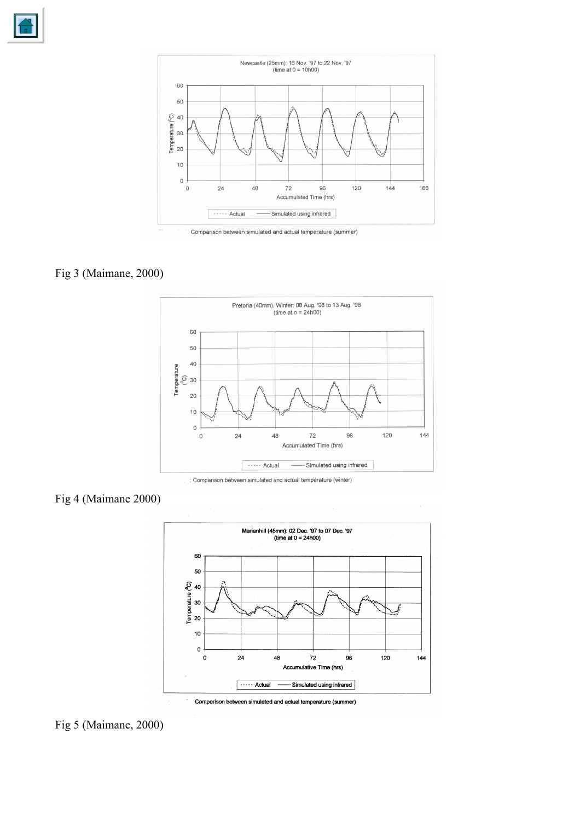





## Fig 3 (Maimane, 2000)



: Comparison between simulated and actual temperature (winter)

## Fig 4 (Maimane 2000)



Comparison between simulated and actual temperature (summer)

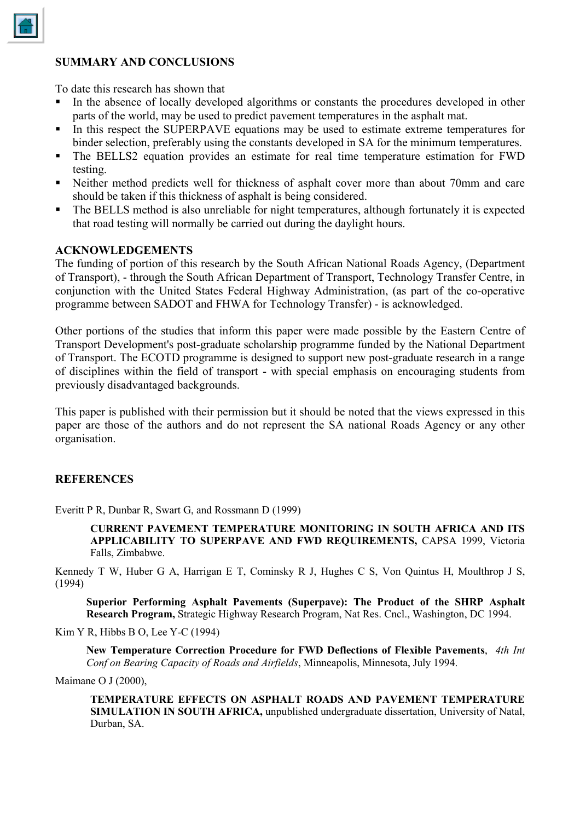

#### **SUMMARY AND CONCLUSIONS**

To date this research has shown that

- In the absence of locally developed algorithms or constants the procedures developed in other parts of the world, may be used to predict pavement temperatures in the asphalt mat.
- In this respect the SUPERPAVE equations may be used to estimate extreme temperatures for binder selection, preferably using the constants developed in SA for the minimum temperatures.
- The BELLS2 equation provides an estimate for real time temperature estimation for FWD testing.
- Neither method predicts well for thickness of asphalt cover more than about 70mm and care should be taken if this thickness of asphalt is being considered.
- The BELLS method is also unreliable for night temperatures, although fortunately it is expected that road testing will normally be carried out during the daylight hours.

#### **ACKNOWLEDGEMENTS**

The funding of portion of this research by the South African National Roads Agency, (Department of Transport), - through the South African Department of Transport, Technology Transfer Centre, in conjunction with the United States Federal Highway Administration, (as part of the co-operative programme between SADOT and FHWA for Technology Transfer) - is acknowledged.

Other portions of the studies that inform this paper were made possible by the Eastern Centre of Transport Development's post-graduate scholarship programme funded by the National Department of Transport. The ECOTD programme is designed to support new post-graduate research in a range of disciplines within the field of transport - with special emphasis on encouraging students from previously disadvantaged backgrounds.

This paper is published with their permission but it should be noted that the views expressed in this paper are those of the authors and do not represent the SA national Roads Agency or any other organisation.

#### **REFERENCES**

Everitt P R, Dunbar R, Swart G, and Rossmann D (1999)

**CURRENT PAVEMENT TEMPERATURE MONITORING IN SOUTH AFRICA AND ITS APPLICABILITY TO SUPERPAVE AND FWD REQUIREMENTS,** CAPSA 1999, Victoria Falls, Zimbabwe.

Kennedy T W, Huber G A, Harrigan E T, Cominsky R J, Hughes C S, Von Quintus H, Moulthrop J S, (1994)

**Superior Performing Asphalt Pavements (Superpave): The Product of the SHRP Asphalt Research Program,** Strategic Highway Research Program, Nat Res. Cncl., Washington, DC 1994.

Kim Y R, Hibbs B O, Lee Y-C (1994)

**New Temperature Correction Procedure for FWD Deflections of Flexible Pavements**, *4th Int Conf on Bearing Capacity of Roads and Airfields*, Minneapolis, Minnesota, July 1994.

Maimane O J (2000),

**TEMPERATURE EFFECTS ON ASPHALT ROADS AND PAVEMENT TEMPERATURE SIMULATION IN SOUTH AFRICA,** unpublished undergraduate dissertation, University of Natal, Durban, SA.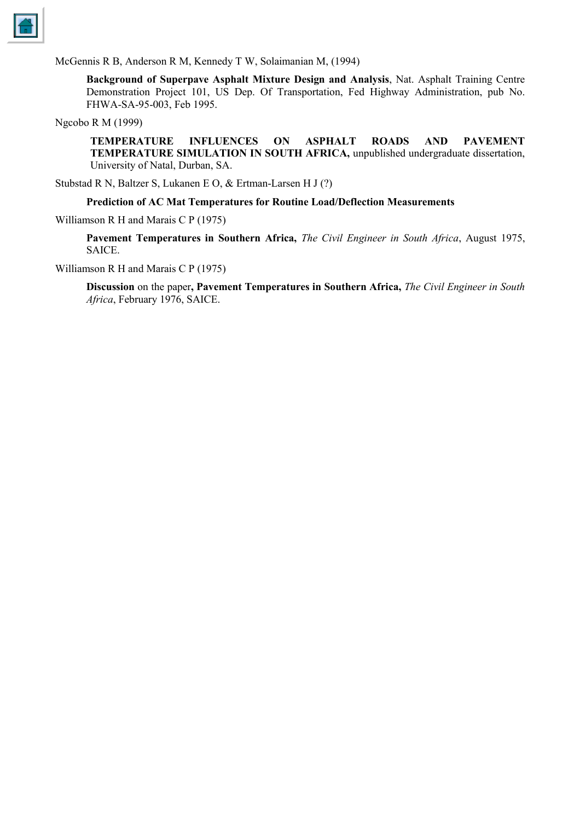

McGennis R B, Anderson R M, Kennedy T W, Solaimanian M, (1994)

**Background of Superpave Asphalt Mixture Design and Analysis**, Nat. Asphalt Training Centre Demonstration Project 101, US Dep. Of Transportation, Fed Highway Administration, pub No. FHWA-SA-95-003, Feb 1995.

Ngcobo R M (1999)

**TEMPERATURE INFLUENCES ON ASPHALT ROADS AND PAVEMENT TEMPERATURE SIMULATION IN SOUTH AFRICA,** unpublished undergraduate dissertation, University of Natal, Durban, SA.

Stubstad R N, Baltzer S, Lukanen E O, & Ertman-Larsen H J (?)

#### **Prediction of AC Mat Temperatures for Routine Load/Deflection Measurements**

Williamson R H and Marais C P (1975)

**Pavement Temperatures in Southern Africa,** *The Civil Engineer in South Africa*, August 1975, SAICE.

Williamson R H and Marais C P (1975)

**Discussion** on the paper**, Pavement Temperatures in Southern Africa,** *The Civil Engineer in South Africa*, February 1976, SAICE.